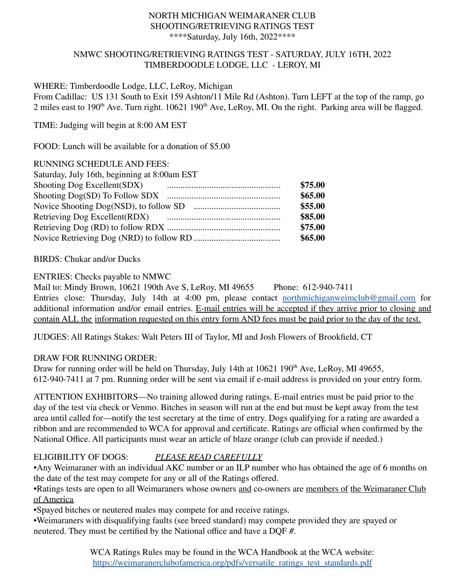#### NORTH MICHIGAN WEIMARANER CLUB SHOOTING/RETRIEVING RATINGS TEST \*\*\*\*Saturday, July 16th, 2022\*\*\*\*

### NMWC SHOOTING/RETRIEVING RATINGS TEST - SATURDAY, JULY 16TH, 2022 TIMBERDOODLE LODGE, LLC - LEROY, MI

#### WHERE: Timberdoodle Lodge, LLC, LeRoy, Michigan

From Cadillac: US 131 South to Exit 159 Ashton/11 Mile Rd (Ashton). Turn LEFT at the top of the ramp, go 2 miles east to 190<sup>th</sup> Ave. Turn right.  $10621$  190<sup>th</sup> Ave, LeRoy, MI. On the right. Parking area will be flagged.

TIME: Judging will begin at 8:00 AM EST

FOOD: Lunch will be available for a donation of \$5.00

#### RUNNING SCHEDULE AND FEES:

| Saturday, July 16th, beginning at 8:00am EST |         |
|----------------------------------------------|---------|
| Shooting Dog Excellent(SDX)                  | \$75.00 |
|                                              | \$65.00 |
|                                              | \$55.00 |
| Retrieving Dog Excellent(RDX)                | \$85.00 |
|                                              | \$75.00 |
|                                              | \$65.00 |

### BIRDS: Chukar and/or Ducks

## ENTRIES: Checks payable to NMWC

Mail to: Mindy Brown, 10621 190th Ave S, LeRoy, MI 49655 Phone: 612-940-7411 Entries close: Thursday, July 14th at 4:00 pm, please contact [northmichiganweimclub@gmail.com](mailto:northmichiganweimclub@gmail.com) for additional information and/or email entries. E-mail entries will be accepted if they arrive prior to closing and contain ALL the information requested on this entry form AND fees must be paid prior to the day of the test.

JUDGES: All Ratings Stakes: Walt Peters III of Taylor, MI and Josh Flowers of Brookfield, CT

### DRAW FOR RUNNING ORDER:

Draw for running order will be held on Thursday, July 14th at 10621 190<sup>th</sup> Ave, LeRoy, MI 49655, 612-940-7411 at 7 pm. Running order will be sent via email if e-mail address is provided on your entry form.

ATTENTION EXHIBITORS—No training allowed during ratings. E-mail entries must be paid prior to the day of the test via check or Venmo. Bitches in season will run at the end but must be kept away from the test area until called for—notify the test secretary at the time of entry. Dogs qualifying for a rating are awarded a ribbon and are recommended to WCA for approval and certificate. Ratings are official when confirmed by the National Office. All participants must wear an article of blaze orange (club can provide if needed.)

# ELIGIBILITY OF DOGS: *PLEASE READ CAREFULLY*

•Any Weimaraner with an individual AKC number or an ILP number who has obtained the age of 6 months on the date of the test may compete for any or all of the Ratings offered.

•Ratings tests are open to all Weimaraners whose owners and co-owners are members of the Weimaraner Club of America

•Spayed bitches or neutered males may compete for and receive ratings.

•Weimaraners with disqualifying faults (see breed standard) may compete provided they are spayed or neutered. They must be certified by the National office and have a DQF #.

> WCA Ratings Rules may be found in the WCA Handbook at the WCA website: [https://weimaranerclubofamerica.org/pdfs/versatile\\_ratings\\_test\\_standards.pdf](https://weimaranerclubofamerica.org/pdfs/versatile_ratings_test_standards.pdf)